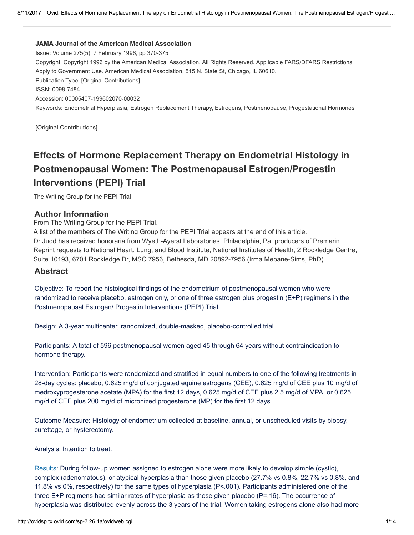#### <span id="page-0-0"></span>JAMA Journal of the American Medical Association

Issue: Volume 275(5), 7 February 1996, pp 370-375 Copyright: Copyright 1996 by the American Medical Association. All Rights Reserved. Applicable FARS/DFARS Restrictions Apply to Government Use. American Medical Association, 515 N. State St, Chicago, IL 60610. Publication Type: [Original Contributions] ISSN: 0098-7484 Accession: 00005407-199602070-00032 Keywords: Endometrial Hyperplasia, Estrogen Replacement Therapy, Estrogens, Postmenopause, Progestational Hormones

[Original Contributions]

# Effects of Hormone Replacement Therapy on Endometrial Histology in Postmenopausal Women: The Postmenopausal Estrogen/Progestin Interventions (PEPI) Trial

The Writing Group for the PEPI Trial

#### Author Information

From The Writing Group for the PEPI Trial.

A list of the members of The Writing Group for the PEPI Trial appears at the end of this article. Dr Judd has received honoraria from Wyeth-Ayerst Laboratories, Philadelphia, Pa, producers of Premarin. Reprint requests to National Heart, Lung, and Blood Institute, National Institutes of Health, 2 Rockledge Centre, Suite 10193, 6701 Rockledge Dr, MSC 7956, Bethesda, MD 20892-7956 (Irma Mebane-Sims, PhD).

#### **Abstract**

Objective: To report the histological findings of the endometrium of postmenopausal women who were randomized to receive placebo, estrogen only, or one of three estrogen plus progestin (E+P) regimens in the Postmenopausal Estrogen/ Progestin Interventions (PEPI) Trial.

Design: A 3-year multicenter, randomized, double-masked, placebo-controlled trial.

Participants: A total of 596 postmenopausal women aged 45 through 64 years without contraindication to hormone therapy.

Intervention: Participants were randomized and stratified in equal numbers to one of the following treatments in 28-day cycles: placebo, 0.625 mg/d of conjugated equine estrogens (CEE), 0.625 mg/d of CEE plus 10 mg/d of medroxyprogesterone acetate (MPA) for the first 12 days, 0.625 mg/d of CEE plus 2.5 mg/d of MPA, or 0.625 mg/d of CEE plus 200 mg/d of micronized progesterone (MP) for the first 12 days.

Outcome Measure: Histology of endometrium collected at baseline, annual, or unscheduled visits by biopsy, curettage, or hysterectomy.

#### Analysis: Intention to treat.

[Results:](#page-3-0) During follow-up women assigned to estrogen alone were more likely to develop simple (cystic), complex (adenomatous), or atypical hyperplasia than those given placebo (27.7% vs 0.8%, 22.7% vs 0.8%, and 11.8% vs 0%, respectively) for the same types of hyperplasia (P<.001). Participants administered one of the three E+P regimens had similar rates of hyperplasia as those given placebo (P=.16). The occurrence of hyperplasia was distributed evenly across the 3 years of the trial. Women taking estrogens alone also had more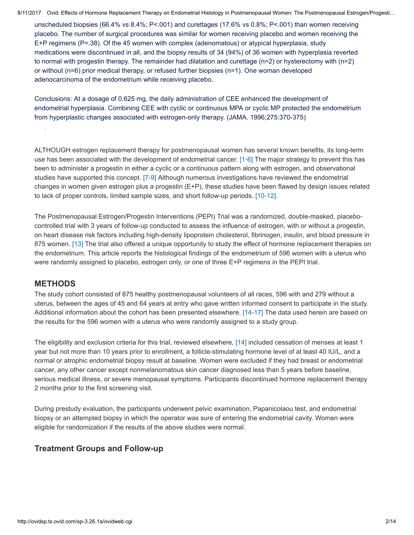unscheduled biopsies (66.4% vs 8.4%; P<.001) and curettages (17.6% vs 0.8%; P<.001) than women receiving placebo. The number of surgical procedures was similar for women receiving placebo and women receiving the E+P regimens (P=.38). Of the 45 women with complex (adenomatous) or atypical hyperplasia, study medications were discontinued in all, and the biopsy results of 34 (94%) of 36 women with hyperplasia reverted to normal with progestin therapy. The remainder had dilatation and curettage (n=2) or hysterectomy with (n=2) or without (n=6) prior medical therapy, or refused further biopsies (n=1). One woman developed adenocarcinoma of the endometrium while receiving placebo.

Conclusions: At a dosage of 0.625 mg, the daily administration of CEE enhanced the development of endometrial hyperplasia. Combining CEE with cyclic or continuous MPA or cyclic MP protected the endometrium from hyperplastic changes associated with estrogen-only therapy. (JAMA. 1996;275:370-375)

ALTHOUGH estrogen replacement therapy for postmenopausal women has several known benefits, its long-term use has been associated with the development of endometrial cancer. [\[1-6\]](#page-10-0) The major strategy to prevent this has been to administer a progestin in either a cyclic or a continuous pattern along with estrogen, and observational studies have supported this concept. [\[7-9\]](#page-10-1) Although numerous investigations have reviewed the endometrial changes in women given estrogen plus a progestin (E+P), these studies have been flawed by design issues related to lack of proper controls, limited sample sizes, and short follow-up periods. [\[10-12\]](#page-10-2).

<span id="page-1-0"></span>The Postmenopausal Estrogen/Progestin Interventions (PEPI) Trial was a randomized, double-masked, placebocontrolled trial with 3 years of follow-up conducted to assess the influence of estrogen, with or without a progestin, on heart disease risk factors including high-density lipoprotein cholesterol, fibrinogen, insulin, and blood pressure in 875 women. [\[13\]](#page-10-3) The trial also offered a unique opportunity to study the effect of hormone replacement therapies on the endometrium. This article reports the histological findings of the endometrium of 596 women with a uterus who were randomly assigned to placebo, estrogen only, or one of three E+P regimens in the PEPI trial.

# <span id="page-1-1"></span>**METHODS**

The study cohort consisted of 875 healthy postmenopausal volunteers of all races, 596 with and 279 without a uterus, between the ages of 45 and 64 years at entry who gave written informed consent to participate in the study. Additional information about the cohort has been presented elsewhere. [\[14-17\]](#page-11-0) The data used herein are based on the results for the 596 women with a uterus who were randomly assigned to a study group.

<span id="page-1-2"></span>The eligibility and exclusion criteria for this trial, reviewed elsewhere, [\[14\]](#page-11-0) included cessation of menses at least 1 year but not more than 10 years prior to enrollment, a follicle-stimulating hormone level of at least 40 IU/L, and a normal or atrophic endometrial biopsy result at baseline. Women were excluded if they had breast or endometrial cancer, any other cancer except nonmelanomatous skin cancer diagnosed less than 5 years before baseline, serious medical illness, or severe menopausal symptoms. Participants discontinued hormone replacement therapy 2 months prior to the first screening visit.

During prestudy evaluation, the participants underwent pelvic examination, Papanicolaou test, and endometrial biopsy or an attempted biopsy in which the operator was sure of entering the endometrial cavity. Women were eligible for randomization if the results of the above studies were normal.

# Treatment Groups and Follow-up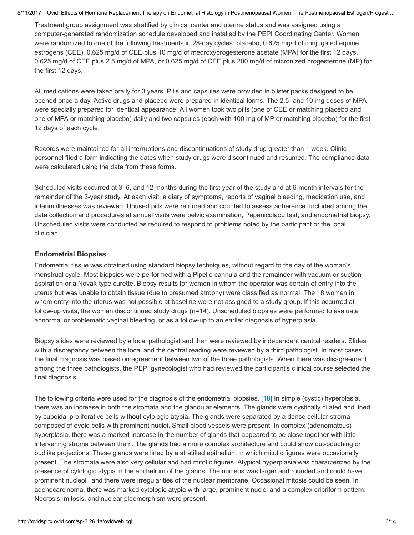Treatment group assignment was stratified by clinical center and uterine status and was assigned using a computer-generated randomization schedule developed and installed by the PEPI Coordinating Center. Women were randomized to one of the following treatments in 28-day cycles: placebo, 0.625 mg/d of conjugated equine estrogens (CEE), 0.625 mg/d of CEE plus 10 mg/d of medroxyprogesterone acetate (MPA) for the first 12 days, 0.625 mg/d of CEE plus 2.5 mg/d of MPA, or 0.625 mg/d of CEE plus 200 mg/d of micronized progesterone (MP) for the first 12 days.

All medications were taken orally for 3 years. Pills and capsules were provided in blister packs designed to be opened once a day. Active drugs and placebo were prepared in identical forms. The 2.5- and 10-mg doses of MPA were specially prepared for identical appearance. All women took two pills (one of CEE or matching placebo and one of MPA or matching placebo) daily and two capsules (each with 100 mg of MP or matching placebo) for the first 12 days of each cycle.

Records were maintained for all interruptions and discontinuations of study drug greater than 1 week. Clinic personnel filed a form indicating the dates when study drugs were discontinued and resumed. The compliance data were calculated using the data from these forms.

Scheduled visits occurred at 3, 6, and 12 months during the first year of the study and at 6-month intervals for the remainder of the 3-year study. At each visit, a diary of symptoms, reports of vaginal bleeding, medication use, and interim illnesses was reviewed. Unused pills were returned and counted to assess adherence. Included among the data collection and procedures at annual visits were pelvic examination, Papanicolaou test, and endometrial biopsy. Unscheduled visits were conducted as required to respond to problems noted by the participant or the local clinician.

### Endometrial Biopsies

Endometrial tissue was obtained using standard biopsy techniques, without regard to the day of the woman's menstrual cycle. Most biopsies were performed with a Pipelle cannula and the remainder with vacuum or suction aspiration or a Novak-type curette. Biopsy results for women in whom the operator was certain of entry into the uterus but was unable to obtain tissue (due to presumed atrophy) were classified as normal. The 18 women in whom entry into the uterus was not possible at baseline were not assigned to a study group. If this occurred at follow-up visits, the woman discontinued study drugs (n=14). Unscheduled biopsies were performed to evaluate abnormal or problematic vaginal bleeding, or as a follow-up to an earlier diagnosis of hyperplasia.

Biopsy slides were reviewed by a local pathologist and then were reviewed by independent central readers. Slides with a discrepancy between the local and the central reading were reviewed by a third pathologist. In most cases the final diagnosis was based on agreement between two of the three pathologists. When there was disagreement among the three pathologists, the PEPI gynecologist who had reviewed the participant's clinical course selected the final diagnosis.

<span id="page-2-0"></span>The following criteria were used for the diagnosis of the endometrial biopsies. [\[18\]](#page-11-1) In simple (cystic) hyperplasia, there was an increase in both the stromata and the glandular elements. The glands were cystically dilated and lined by cuboidal proliferative cells without cytologic atypia. The glands were separated by a dense cellular stroma composed of ovoid cells with prominent nuclei. Small blood vessels were present. In complex (adenomatous) hyperplasia, there was a marked increase in the number of glands that appeared to be close together with little intervening stroma between them. The glands had a more complex architecture and could show out-pouching or budlike projections. These glands were lined by a stratified epithelium in which mitotic figures were occasionally present. The stromata were also very cellular and had mitotic figures. Atypical hyperplasia was characterized by the presence of cytologic atypia in the epithelium of the glands. The nucleus was larger and rounded and could have prominent nucleoli, and there were irregularities of the nuclear membrane. Occasional mitosis could be seen. In adenocarcinoma, there was marked cytologic atypia with large, prominent nuclei and a complex cribriform pattern. Necrosis, mitosis, and nuclear pleomorphism were present.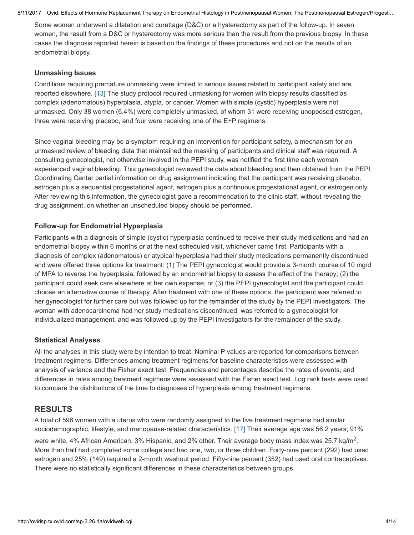Some women underwent a dilatation and curettage (D&C) or a hysterectomy as part of the follow-up. In seven women, the result from a D&C or hysterectomy was more serious than the result from the previous biopsy. In these cases the diagnosis reported herein is based on the findings of these procedures and not on the results of an endometrial biopsy.

#### Unmasking Issues

Conditions requiring premature unmasking were limited to serious issues related to participant safety and are reported elsewhere. [\[13\]](#page-10-3) The study protocol required unmasking for women with biopsy results classified as complex (adenomatous) hyperplasia, atypia, or cancer. Women with simple (cystic) hyperplasia were not unmasked. Only 38 women (6.4%) were completely unmasked, of whom 31 were receiving unopposed estrogen, three were receiving placebo, and four were receiving one of the E+P regimens.

Since vaginal bleeding may be a symptom requiring an intervention for participant safety, a mechanism for an unmasked review of bleeding data that maintained the masking of participants and clinical staff was required. A consulting gynecologist, not otherwise involved in the PEPI study, was notified the first time each woman experienced vaginal bleeding. This gynecologist reviewed the data about bleeding and then obtained from the PEPI Coordinating Center partial information on drug assignment indicating that the participant was receiving placebo, estrogen plus a sequential progestational agent, estrogen plus a continuous progestational agent, or estrogen only. After reviewing this information, the gynecologist gave a recommendation to the clinic staff, without revealing the drug assignment, on whether an unscheduled biopsy should be performed.

#### Follow-up for Endometrial Hyperplasia

Participants with a diagnosis of simple (cystic) hyperplasia continued to receive their study medications and had an endometrial biopsy within 6 months or at the next scheduled visit, whichever came first. Participants with a diagnosis of complex (adenomatous) or atypical hyperplasia had their study medications permanently discontinued and were offered three options for treatment: (1) The PEPI gynecologist would provide a 3-month course of 10 mg/d of MPA to reverse the hyperplasia, followed by an endometrial biopsy to assess the effect of the therapy; (2) the participant could seek care elsewhere at her own expense; or (3) the PEPI gynecologist and the participant could choose an alternative course of therapy. After treatment with one of these options, the participant was referred to her gynecologist for further care but was followed up for the remainder of the study by the PEPI investigators. The woman with adenocarcinoma had her study medications discontinued, was referred to a gynecologist for individualized management, and was followed up by the PEPI investigators for the remainder of the study.

#### Statistical Analyses

All the analyses in this study were by intention to treat. Nominal P values are reported for comparisons between treatment regimens. Differences among treatment regimens for baseline characteristics were assessed with analysis of variance and the Fisher exact test. Frequencies and percentages describe the rates of events, and differences in rates among treatment regimens were assessed with the Fisher exact test. Log rank tests were used to compare the distributions of the time to diagnoses of hyperplasia among treatment regimens.

## <span id="page-3-0"></span>RESULTS

A total of 596 women with a uterus who were randomly assigned to the five treatment regimens had similar sociodemographic, lifestyle, and menopause-related characteristics. [\[17\]](#page-11-2) Their average age was 56.2 years; 91%

were white, 4% African American, 3% Hispanic, and 2% other. Their average body mass index was 25.7 kg/m<sup>2</sup>. More than half had completed some college and had one, two, or three children. Forty-nine percent (292) had used estrogen and 25% (149) required a 2-month washout period. Fifty-nine percent (352) had used oral contraceptives. There were no statistically significant differences in these characteristics between groups.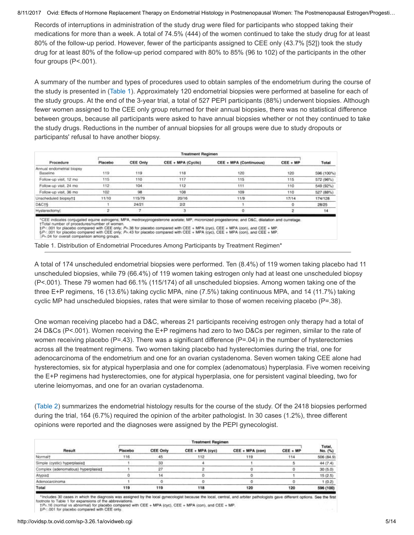Records of interruptions in administration of the study drug were filed for participants who stopped taking their medications for more than a week. A total of 74.5% (444) of the women continued to take the study drug for at least 80% of the follow-up period. However, fewer of the participants assigned to CEE only (43.7% [52]) took the study drug for at least 80% of the follow-up period compared with 80% to 85% (96 to 102) of the participants in the other four groups (P<.001).

A summary of the number and types of procedures used to obtain samples of the endometrium during the course of the study is presented in (Table 1). Approximately 120 endometrial biopsies were performed at baseline for each of the study groups. At the end of the 3-year trial, a total of 527 PEPI participants (88%) underwent biopsies. Although fewer women assigned to the CEE only group returned for their annual biopsies, there was no statistical difference between groups, because all participants were asked to have annual biopsies whether or not they continued to take the study drugs. Reductions in the number of annual biopsies for all groups were due to study dropouts or participants' refusal to have another biopsy.

| Procedure                             | <b>Treatment Regimen</b> |                 |                    |                        |            |            |  |  |  |
|---------------------------------------|--------------------------|-----------------|--------------------|------------------------|------------|------------|--|--|--|
|                                       | Placebo                  | <b>CEE Only</b> | CEE + MPA (Cyclic) | CEE + MPA (Continuous) | $CEE + MP$ | Total      |  |  |  |
| Annual endometrial biopsy<br>Baseline | 119                      | 119             | 118                | 120                    | 120        | 596 (100%) |  |  |  |
| Follow-up visit. 12 mo                | 115                      | 110             | 117                | 115                    | 115        | 572 (96%)  |  |  |  |
| Follow-up visit, 24 mo                | 112                      | 104             | 112                | 111                    | 110        | 549 (92%)  |  |  |  |
| Follow-up visit. 36 mo.               | 102                      | 98              | 108                | 109                    | 110        | 527 (88%)  |  |  |  |
| Unscheduled biopsytt                  | 11/10                    | 115/79          | 20/16              | 11/9                   | 17/14      | 174/128    |  |  |  |
| D&C†§                                 |                          | 24/21           | 2/2                |                        | o          | 28/25      |  |  |  |
| Hysterectomy                          | 2                        |                 |                    |                        |            | 14         |  |  |  |

"CEE indicates conjugated equine estrogens; MPA, medroxyprogesterone acetate; MP, micronized progesterone; and D&C, dilatation and curretage Total number of procedures/number of women.<br>
The intervention of procedures/number of women.<br>  $F^{\mu}$ - (001 for placebo compared with CEE only, P=.38 for placebo compared with CEE + MPA (cyc), CEE + MPA (con), and CEE + M

Table 1. Distribution of Endometrial Procedures Among Participants by Treatment Regimen\*

A total of 174 unscheduled endometrial biopsies were performed. Ten (8.4%) of 119 women taking placebo had 11 unscheduled biopsies, while 79 (66.4%) of 119 women taking estrogen only had at least one unscheduled biopsy (P<.001). These 79 women had 66.1% (115/174) of all unscheduled biopsies. Among women taking one of the three E+P regimens, 16 (13.6%) taking cyclic MPA, nine (7.5%) taking continuous MPA, and 14 (11.7%) taking cyclic MP had unscheduled biopsies, rates that were similar to those of women receiving placebo (P=.38).

One woman receiving placebo had a D&C, whereas 21 participants receiving estrogen only therapy had a total of 24 D&Cs (P<.001). Women receiving the E+P regimens had zero to two D&Cs per regimen, similar to the rate of women receiving placebo ( $P=43$ ). There was a significant difference ( $P=04$ ) in the number of hysterectomies across all the treatment regimens. Two women taking placebo had hysterectomies during the trial, one for adenocarcinoma of the endometrium and one for an ovarian cystadenoma. Seven women taking CEE alone had hysterectomies, six for atypical hyperplasia and one for complex (adenomatous) hyperplasia. Five women receiving the E+P regimens had hysterectomies, one for atypical hyperplasia, one for persistent vaginal bleeding, two for uterine leiomyomas, and one for an ovarian cystadenoma.

(Table 2) summarizes the endometrial histology results for the course of the study. Of the 2418 biopsies performed during the trial, 164 (6.7%) required the opinion of the arbiter pathologist. In 30 cases (1.2%), three different opinions were reported and the diagnoses were assigned by the PEPI gynecologist.

|                                    | <b>Treatment Regimen</b> |                 |                 |                 |            |                  |  |  |
|------------------------------------|--------------------------|-----------------|-----------------|-----------------|------------|------------------|--|--|
| Result                             | Placebo                  | <b>CEE Only</b> | CEE + MPA (cyc) | CEE + MPA (con) | $CEE + MP$ | Total<br>No. (%) |  |  |
| Normalt                            | 116                      | 45              | 112             | 119             | 114        | 506 (84.9)       |  |  |
| Simple (cystic) hyperplasia‡       |                          | 33              |                 |                 |            | 44 (7.4)         |  |  |
| Complex (adenomatous) hyperplasia‡ |                          | 27              |                 |                 |            | 30(5.0)          |  |  |
| Atypiat                            |                          | 14              |                 |                 |            | 15(2.5)          |  |  |
| Adenocarcinoma                     |                          |                 | n               |                 |            | 1(0.2)           |  |  |
| Total                              | 119                      | 119             | 118             | 120             | 120        | 596 (100)        |  |  |

\*Includes 30 cases in which the diagnosis was assigned by the local gynecologist because the local, central, and arbiter pathologists gave different options. See the first tootnois to Table 1 for expansions of the abbrevi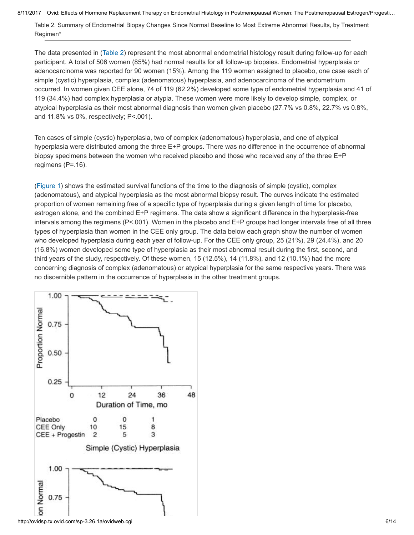Table 2. Summary of Endometrial Biopsy Changes Since Normal Baseline to Most Extreme Abnormal Results, by Treatment Regimen\*

The data presented in (Table 2) represent the most abnormal endometrial histology result during follow-up for each participant. A total of 506 women (85%) had normal results for all follow-up biopsies. Endometrial hyperplasia or adenocarcinoma was reported for 90 women (15%). Among the 119 women assigned to placebo, one case each of simple (cystic) hyperplasia, complex (adenomatous) hyperplasia, and adenocarcinoma of the endometrium occurred. In women given CEE alone, 74 of 119 (62.2%) developed some type of endometrial hyperplasia and 41 of 119 (34.4%) had complex hyperplasia or atypia. These women were more likely to develop simple, complex, or atypical hyperplasia as their most abnormal diagnosis than women given placebo (27.7% vs 0.8%, 22.7% vs 0.8%, and 11.8% vs 0%, respectively; P<.001).

Ten cases of simple (cystic) hyperplasia, two of complex (adenomatous) hyperplasia, and one of atypical hyperplasia were distributed among the three E+P groups. There was no difference in the occurrence of abnormal biopsy specimens between the women who received placebo and those who received any of the three E+P regimens (P=.16).

(Figure 1) shows the estimated survival functions of the time to the diagnosis of simple (cystic), complex (adenomatous), and atypical hyperplasia as the most abnormal biopsy result. The curves indicate the estimated proportion of women remaining free of a specific type of hyperplasia during a given length of time for placebo, estrogen alone, and the combined E+P regimens. The data show a significant difference in the hyperplasia-free intervals among the regimens (P<.001). Women in the placebo and E+P groups had longer intervals free of all three types of hyperplasia than women in the CEE only group. The data below each graph show the number of women who developed hyperplasia during each year of follow-up. For the CEE only group, 25 (21%), 29 (24.4%), and 20 (16.8%) women developed some type of hyperplasia as their most abnormal result during the first, second, and third years of the study, respectively. Of these women, 15 (12.5%), 14 (11.8%), and 12 (10.1%) had the more concerning diagnosis of complex (adenomatous) or atypical hyperplasia for the same respective years. There was no discernible pattern in the occurrence of hyperplasia in the other treatment groups.

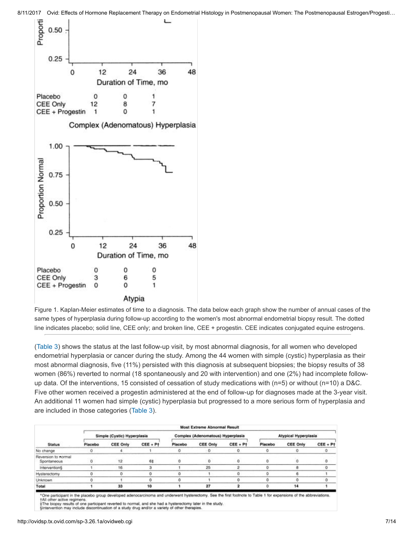

Figure 1. Kaplan-Meier estimates of time to a diagnosis. The data below each graph show the number of annual cases of the same types of hyperplasia during follow-up according to the women's most abnormal endometrial biopsy result. The dotted line indicates placebo; solid line, CEE only; and broken line, CEE + progestin. CEE indicates conjugated equine estrogens.

(Table 3) shows the status at the last follow-up visit, by most abnormal diagnosis, for all women who developed endometrial hyperplasia or cancer during the study. Among the 44 women with simple (cystic) hyperplasia as their most abnormal diagnosis, five (11%) persisted with this diagnosis at subsequent biopsies; the biopsy results of 38 women (86%) reverted to normal (18 spontaneously and 20 with intervention) and one (2%) had incomplete followup data. Of the interventions, 15 consisted of cessation of study medications with (n=5) or without (n=10) a D&C. Five other women received a progestin administered at the end of follow-up for diagnoses made at the 3-year visit. An additional 11 women had simple (cystic) hyperplasia but progressed to a more serious form of hyperplasia and are included in those categories (Table 3).

| <b>Status</b>                      | <b>Most Extreme Abnormal Result</b> |                             |            |                                   |                 |          |                      |                 |          |  |  |
|------------------------------------|-------------------------------------|-----------------------------|------------|-----------------------------------|-----------------|----------|----------------------|-----------------|----------|--|--|
|                                    |                                     | Simple (Cystic) Hyperplasia |            | Complex (Adenomatous) Hyperplasia |                 |          | Atypical Hyperplasia |                 |          |  |  |
|                                    | Placebo                             | <b>CEE Only</b>             | $CEE + P1$ | Placebo                           | <b>CEE Only</b> | CEE + Pt | Placebo              | <b>CEE Only</b> | CEE + Pt |  |  |
| No change                          |                                     |                             |            |                                   |                 | 0        |                      |                 | 0        |  |  |
| Reversion to normal<br>Spontaneous |                                     | 12                          | 6‡         |                                   | o               |          |                      |                 |          |  |  |
| Intervention§                      |                                     | 16                          |            |                                   | 25              |          |                      |                 |          |  |  |
| Hysterectomy                       |                                     |                             | O          |                                   |                 |          |                      |                 |          |  |  |
| Unknown                            |                                     |                             |            |                                   |                 |          |                      |                 |          |  |  |
| Total                              |                                     | 33                          | 10         |                                   | 27              |          |                      | 14              |          |  |  |

\*One participant in the placebo group developed adenocarcinoma and underwent hysterectomy. See the first footnote to Table 1 for expansions of the abbreviations

The biopsy results of one participant reverted to normal, and she had a hysterectomy later in the study.<br>§Intervention may include discontinuation of a study drug and/or a variety of other therapies.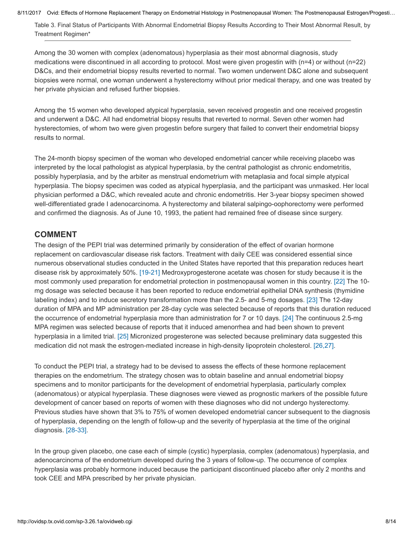Table 3. Final Status of Participants With Abnormal Endometrial Biopsy Results According to Their Most Abnormal Result, by Treatment Regimen\*

Among the 30 women with complex (adenomatous) hyperplasia as their most abnormal diagnosis, study medications were discontinued in all according to protocol. Most were given progestin with (n=4) or without (n=22) D&Cs, and their endometrial biopsy results reverted to normal. Two women underwent D&C alone and subsequent biopsies were normal, one woman underwent a hysterectomy without prior medical therapy, and one was treated by her private physician and refused further biopsies.

Among the 15 women who developed atypical hyperplasia, seven received progestin and one received progestin and underwent a D&C. All had endometrial biopsy results that reverted to normal. Seven other women had hysterectomies, of whom two were given progestin before surgery that failed to convert their endometrial biopsy results to normal.

The 24-month biopsy specimen of the woman who developed endometrial cancer while receiving placebo was interpreted by the local pathologist as atypical hyperplasia, by the central pathologist as chronic endometritis, possibly hyperplasia, and by the arbiter as menstrual endometrium with metaplasia and focal simple atypical hyperplasia. The biopsy specimen was coded as atypical hyperplasia, and the participant was unmasked. Her local physician performed a D&C, which revealed acute and chronic endometritis. Her 3-year biopsy specimen showed well-differentiated grade I adenocarcinoma. A hysterectomy and bilateral salpingo-oophorectomy were performed and confirmed the diagnosis. As of June 10, 1993, the patient had remained free of disease since surgery.

#### COMMENT

The design of the PEPI trial was determined primarily by consideration of the effect of ovarian hormone replacement on cardiovascular disease risk factors. Treatment with daily CEE was considered essential since numerous observational studies conducted in the United States have reported that this preparation reduces heart disease risk by approximately 50%. [\[19-21\]](#page-11-3) Medroxyprogesterone acetate was chosen for study because it is the most commonly used preparation for endometrial protection in postmenopausal women in this country. [\[22\]](#page-11-4) The 10 mg dosage was selected because it has been reported to reduce endometrial epithelial DNA synthesis (thymidine labeling index) and to induce secretory transformation more than the 2.5- and 5-mg dosages. [\[23\]](#page-11-5) The 12-day duration of MPA and MP administration per 28-day cycle was selected because of reports that this duration reduced the occurrence of endometrial hyperplasia more than administration for 7 or 10 days. [\[24\]](#page-11-6) The continuous 2.5-mg MPA regimen was selected because of reports that it induced amenorrhea and had been shown to prevent hyperplasia in a limited trial. [\[25\]](#page-11-7) Micronized progesterone was selected because preliminary data suggested this medication did not mask the estrogen-mediated increase in high-density lipoprotein cholesterol. [\[26,27\].](#page-11-8)

<span id="page-7-0"></span>To conduct the PEPI trial, a strategy had to be devised to assess the effects of these hormone replacement therapies on the endometrium. The strategy chosen was to obtain baseline and annual endometrial biopsy specimens and to monitor participants for the development of endometrial hyperplasia, particularly complex (adenomatous) or atypical hyperplasia. These diagnoses were viewed as prognostic markers of the possible future development of cancer based on reports of women with these diagnoses who did not undergo hysterectomy. Previous studies have shown that 3% to 75% of women developed endometrial cancer subsequent to the diagnosis of hyperplasia, depending on the length of follow-up and the severity of hyperplasia at the time of the original diagnosis. [\[28-33\].](#page-11-9)

<span id="page-7-1"></span>In the group given placebo, one case each of simple (cystic) hyperplasia, complex (adenomatous) hyperplasia, and adenocarcinoma of the endometrium developed during the 3 years of follow-up. The occurrence of complex hyperplasia was probably hormone induced because the participant discontinued placebo after only 2 months and took CEE and MPA prescribed by her private physician.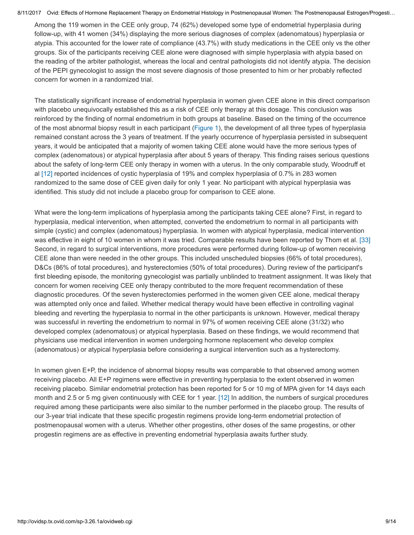Among the 119 women in the CEE only group, 74 (62%) developed some type of endometrial hyperplasia during follow-up, with 41 women (34%) displaying the more serious diagnoses of complex (adenomatous) hyperplasia or atypia. This accounted for the lower rate of compliance (43.7%) with study medications in the CEE only vs the other groups. Six of the participants receiving CEE alone were diagnosed with simple hyperplasia with atypia based on the reading of the arbiter pathologist, whereas the local and central pathologists did not identify atypia. The decision of the PEPI gynecologist to assign the most severe diagnosis of those presented to him or her probably reflected concern for women in a randomized trial.

The statistically significant increase of endometrial hyperplasia in women given CEE alone in this direct comparison with placebo unequivocally established this as a risk of CEE only therapy at this dosage. This conclusion was reinforced by the finding of normal endometrium in both groups at baseline. Based on the timing of the occurrence of the most abnormal biopsy result in each participant (Figure 1), the development of all three types of hyperplasia remained constant across the 3 years of treatment. If the yearly occurrence of hyperplasia persisted in subsequent years, it would be anticipated that a majority of women taking CEE alone would have the more serious types of complex (adenomatous) or atypical hyperplasia after about 5 years of therapy. This finding raises serious questions about the safety of long-term CEE only therapy in women with a uterus. In the only comparable study, Woodruff et al [\[12\]](#page-10-4) reported incidences of cystic hyperplasia of 19% and complex hyperplasia of 0.7% in 283 women randomized to the same dose of CEE given daily for only 1 year. No participant with atypical hyperplasia was identified. This study did not include a placebo group for comparison to CEE alone.

What were the long-term implications of hyperplasia among the participants taking CEE alone? First, in regard to hyperplasia, medical intervention, when attempted, converted the endometrium to normal in all participants with simple (cystic) and complex (adenomatous) hyperplasia. In women with atypical hyperplasia, medical intervention was effective in eight of 10 women in whom it was tried. Comparable results have been reported by Thom et al. [\[33\]](#page-12-0) Second, in regard to surgical interventions, more procedures were performed during follow-up of women receiving CEE alone than were needed in the other groups. This included unscheduled biopsies (66% of total procedures), D&Cs (86% of total procedures), and hysterectomies (50% of total procedures). During review of the participant's first bleeding episode, the monitoring gynecologist was partially unblinded to treatment assignment. It was likely that concern for women receiving CEE only therapy contributed to the more frequent recommendation of these diagnostic procedures. Of the seven hysterectomies performed in the women given CEE alone, medical therapy was attempted only once and failed. Whether medical therapy would have been effective in controlling vaginal bleeding and reverting the hyperplasia to normal in the other participants is unknown. However, medical therapy was successful in reverting the endometrium to normal in 97% of women receiving CEE alone (31/32) who developed complex (adenomatous) or atypical hyperplasia. Based on these findings, we would recommend that physicians use medical intervention in women undergoing hormone replacement who develop complex (adenomatous) or atypical hyperplasia before considering a surgical intervention such as a hysterectomy.

In women given E+P, the incidence of abnormal biopsy results was comparable to that observed among women receiving placebo. All E+P regimens were effective in preventing hyperplasia to the extent observed in women receiving placebo. Similar endometrial protection has been reported for 5 or 10 mg of MPA given for 14 days each month and 2.5 or 5 mg given continuously with CEE for 1 year. [\[12\]](#page-10-4) In addition, the numbers of surgical procedures required among these participants were also similar to the number performed in the placebo group. The results of our 3-year trial indicate that these specific progestin regimens provide long-term endometrial protection of postmenopausal women with a uterus. Whether other progestins, other doses of the same progestins, or other progestin regimens are as effective in preventing endometrial hyperplasia awaits further study.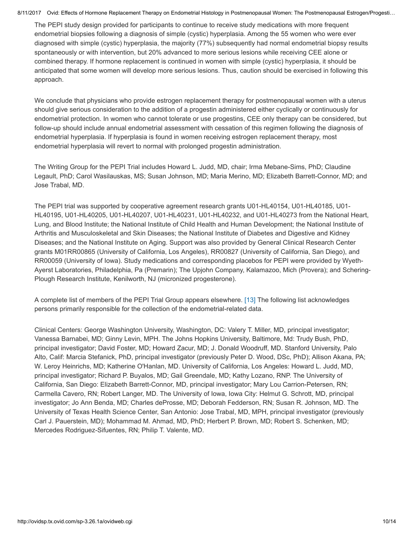The PEPI study design provided for participants to continue to receive study medications with more frequent endometrial biopsies following a diagnosis of simple (cystic) hyperplasia. Among the 55 women who were ever diagnosed with simple (cystic) hyperplasia, the majority (77%) subsequently had normal endometrial biopsy results spontaneously or with intervention, but 20% advanced to more serious lesions while receiving CEE alone or combined therapy. If hormone replacement is continued in women with simple (cystic) hyperplasia, it should be anticipated that some women will develop more serious lesions. Thus, caution should be exercised in following this approach.

We conclude that physicians who provide estrogen replacement therapy for postmenopausal women with a uterus should give serious consideration to the addition of a progestin administered either cyclically or continuously for endometrial protection. In women who cannot tolerate or use progestins, CEE only therapy can be considered, but follow-up should include annual endometrial assessment with cessation of this regimen following the diagnosis of endometrial hyperplasia. If hyperplasia is found in women receiving estrogen replacement therapy, most endometrial hyperplasia will revert to normal with prolonged progestin administration.

The Writing Group for the PEPI Trial includes Howard L. Judd, MD, chair; Irma Mebane-Sims, PhD; Claudine Legault, PhD; Carol Wasilauskas, MS; Susan Johnson, MD; Maria Merino, MD; Elizabeth Barrett-Connor, MD; and Jose Trabal, MD.

The PEPI trial was supported by cooperative agreement research grants U01-HL40154, U01-HL40185, U01- HL40195, U01-HL40205, U01-HL40207, U01-HL40231, U01-HL40232, and U01-HL40273 from the National Heart, Lung, and Blood Institute; the National Institute of Child Health and Human Development; the National Institute of Arthritis and Musculoskeletal and Skin Diseases; the National Institute of Diabetes and Digestive and Kidney Diseases; and the National Institute on Aging. Support was also provided by General Clinical Research Center grants M01RR00865 (University of California, Los Angeles), RR00827 (University of California, San Diego), and RR00059 (University of Iowa). Study medications and corresponding placebos for PEPI were provided by Wyeth-Ayerst Laboratories, Philadelphia, Pa (Premarin); The Upjohn Company, Kalamazoo, Mich (Provera); and Schering-Plough Research Institute, Kenilworth, NJ (micronized progesterone).

A complete list of members of the PEPI Trial Group appears elsewhere. [\[13\]](#page-10-3) The following list acknowledges persons primarily responsible for the collection of the endometrial-related data.

Clinical Centers: George Washington University, Washington, DC: Valery T. Miller, MD, principal investigator; Vanessa Barnabei, MD; Ginny Levin, MPH. The Johns Hopkins University, Baltimore, Md: Trudy Bush, PhD, principal investigator; David Foster, MD; Howard Zacur, MD; J. Donald Woodruff, MD. Stanford University, Palo Alto, Calif: Marcia Stefanick, PhD, principal investigator (previously Peter D. Wood, DSc, PhD); Allison Akana, PA; W. Leroy Heinrichs, MD; Katherine O'Hanlan, MD. University of California, Los Angeles: Howard L. Judd, MD, principal investigator; Richard P. Buyalos, MD; Gail Greendale, MD; Kathy Lozano, RNP. The University of California, San Diego: Elizabeth Barrett-Connor, MD, principal investigator; Mary Lou Carrion-Petersen, RN; Carmella Cavero, RN; Robert Langer, MD. The University of Iowa, Iowa City: Helmut G. Schrott, MD, principal investigator; Jo Ann Benda, MD; Charles deProsse, MD; Deborah Fedderson, RN; Susan R. Johnson, MD. The University of Texas Health Science Center, San Antonio: Jose Trabal, MD, MPH, principal investigator (previously Carl J. Pauerstein, MD); Mohammad M. Ahmad, MD, PhD; Herbert P. Brown, MD; Robert S. Schenken, MD; Mercedes Rodriguez-Sifuentes, RN; Philip T. Valente, MD.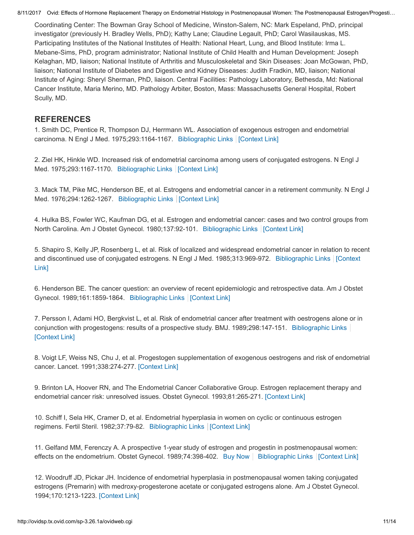Coordinating Center: The Bowman Gray School of Medicine, Winston-Salem, NC: Mark Espeland, PhD, principal investigator (previously H. Bradley Wells, PhD); Kathy Lane; Claudine Legault, PhD; Carol Wasilauskas, MS. Participating Institutes of the National Institutes of Health: National Heart, Lung, and Blood Institute: Irma L. Mebane-Sims, PhD, program administrator; National Institute of Child Health and Human Development: Joseph Kelaghan, MD, liaison; National Institute of Arthritis and Musculoskeletal and Skin Diseases: Joan McGowan, PhD, liaison; National Institute of Diabetes and Digestive and Kidney Diseases: Judith Fradkin, MD, liaison; National Institute of Aging: Sheryl Sherman, PhD, liaison. Central Facilities: Pathology Laboratory, Bethesda, Md: National Cancer Institute, Maria Merino, MD. Pathology Arbiter, Boston, Mass: Massachusetts General Hospital, Robert Scully, MD.

# REFERENCES

<span id="page-10-0"></span>1. Smith DC, Prentice R, Thompson DJ, Herrmann WL. Association of exogenous estrogen and endometrial carcinoma. N Engl J Med. 1975;293:1164-1167. [Bibliographic](http://ovidsp.tx.ovid.com/sp-3.26.1a/ovidweb.cgi?Link+Set+Ref=00005407-199602070-00032|00006024_1975_293_1164_smith_association_%7c00005407-199602070-00032%23xpointer%28id%28R1-32%29%29%7c60%7c%7covftdb%7c&P=75&S=MLCHFPKBCFDDCHOJNCGKICJCAKLCAA00&WebLinkReturn=Full+Text%3dL%7cS.sh.22.23%7c0%7c00005407-199602070-00032) Links | [\[Context](#page-1-0) Link]

2. Ziel HK, Hinkle WD. Increased risk of endometrial carcinoma among users of conjugated estrogens. N Engl J Med. 1975;293:1167-1170. [Bibliographic](http://ovidsp.tx.ovid.com/sp-3.26.1a/ovidweb.cgi?Link+Set+Ref=00005407-199602070-00032|00006024_1975_293_1167_ziel_endometrial_%7c00005407-199602070-00032%23xpointer%28id%28R2-32%29%29%7c60%7c%7covftdb%7c&P=76&S=MLCHFPKBCFDDCHOJNCGKICJCAKLCAA00&WebLinkReturn=Full+Text%3dL%7cS.sh.22.23%7c0%7c00005407-199602070-00032) Links [\[Context](#page-1-0) Link]

3. Mack TM, Pike MC, Henderson BE, et al. Estrogens and endometrial cancer in a retirement community. N Engl J Med. 1976;294:1262-1267. [Bibliographic](http://ovidsp.tx.ovid.com/sp-3.26.1a/ovidweb.cgi?Link+Set+Ref=00005407-199602070-00032|00006024_1976_294_1262_mack_endometrial_%7c00005407-199602070-00032%23xpointer%28id%28R3-32%29%29%7c60%7c%7covftdb%7c&P=77&S=MLCHFPKBCFDDCHOJNCGKICJCAKLCAA00&WebLinkReturn=Full+Text%3dL%7cS.sh.22.23%7c0%7c00005407-199602070-00032) Links [\[Context](#page-1-0) Link]

4. Hulka BS, Fowler WC, Kaufman DG, et al. Estrogen and endometrial cancer: cases and two control groups from North Carolina. Am J Obstet Gynecol. 1980;137:92-101. [Bibliographic](http://ovidsp.tx.ovid.com/sp-3.26.1a/ovidweb.cgi?Link+Set+Ref=00005407-199602070-00032|00000447_1980_137_92_hulka_endometrial_%7c00005407-199602070-00032%23xpointer%28id%28R4-32%29%29%7c60%7c%7covftdb%7c&P=78&S=MLCHFPKBCFDDCHOJNCGKICJCAKLCAA00&WebLinkReturn=Full+Text%3dL%7cS.sh.22.23%7c0%7c00005407-199602070-00032) Links [\[Context](#page-1-0) Link]

5. Shapiro S, Kelly JP, Rosenberg L, et al. Risk of localized and widespread endometrial cancer in relation to recent and discontinued use of conjugated estrogens. N Engl J Med. [1985;313:969-972.](#page-1-0) [Bibliographic](http://ovidsp.tx.ovid.com/sp-3.26.1a/ovidweb.cgi?Link+Set+Ref=00005407-199602070-00032|00006024_1985_313_969_shapiro_discontinued_%7c00005407-199602070-00032%23xpointer%28id%28R5-32%29%29%7c60%7c%7covftdb%7c&P=79&S=MLCHFPKBCFDDCHOJNCGKICJCAKLCAA00&WebLinkReturn=Full+Text%3dL%7cS.sh.22.23%7c0%7c00005407-199602070-00032) Links [Context Link]

6. Henderson BE. The cancer question: an overview of recent epidemiologic and retrospective data. Am J Obstet Gynecol. 1989;161:1859-1864. [Bibliographic](http://ovidsp.tx.ovid.com/sp-3.26.1a/ovidweb.cgi?Link+Set+Ref=00005407-199602070-00032|00000447_1989_161_1859_henderson_epidemiologic_%7c00005407-199602070-00032%23xpointer%28id%28R6-32%29%29%7c60%7c%7covftdb%7c&P=80&S=MLCHFPKBCFDDCHOJNCGKICJCAKLCAA00&WebLinkReturn=Full+Text%3dL%7cS.sh.22.23%7c0%7c00005407-199602070-00032) Links | [\[Context](#page-1-0) Link]

<span id="page-10-1"></span>7. Persson I, Adami HO, Bergkvist L, et al. Risk of endometrial cancer after treatment with oestrogens alone or in conjunction with progestogens: results of a prospective study. BMJ. 1989;298:147-151. [Bibliographic](http://ovidsp.tx.ovid.com/sp-3.26.1a/ovidweb.cgi?Link+Set+Ref=00005407-199602070-00032|00002591_1989_298_147_persson_progestogens_%7c00005407-199602070-00032%23xpointer%28id%28R7-32%29%29%7c60%7c%7covftdb%7c&P=81&S=MLCHFPKBCFDDCHOJNCGKICJCAKLCAA00&WebLinkReturn=Full+Text%3dL%7cS.sh.22.23%7c0%7c00005407-199602070-00032) Links [\[Context](#page-1-0) Link]

8. Voigt LF, Weiss NS, Chu J, et al. Progestogen supplementation of exogenous oestrogens and risk of endometrial cancer. Lancet. 1991;338:274-277. [\[Context](#page-1-0) Link]

9. Brinton LA, Hoover RN, and The Endometrial Cancer Collaborative Group. Estrogen replacement therapy and endometrial cancer risk: unresolved issues. Obstet Gynecol. 1993;81:265-271. [\[Context](#page-1-0) Link]

<span id="page-10-2"></span>10. Schiff I, Sela HK, Cramer D, et al. Endometrial hyperplasia in women on cyclic or continuous estrogen regimens. Fertil Steril. 1982;37:79-82. [Bibliographic](http://ovidsp.tx.ovid.com/sp-3.26.1a/ovidweb.cgi?Link+Set+Ref=00005407-199602070-00032|00003748_1982_37_79_schiff_endometrial_%7c00005407-199602070-00032%23xpointer%28id%28R10-32%29%29%7c60%7c%7covftdb%7c&P=84&S=MLCHFPKBCFDDCHOJNCGKICJCAKLCAA00&WebLinkReturn=Full+Text%3dL%7cS.sh.22.23%7c0%7c00005407-199602070-00032) Links | [\[Context](#page-1-0) Link]

11. Gelfand MM, Ferenczy A. A prospective 1-year study of estrogen and progestin in postmenopausal women: effects on the endometrium. Obstet Gynecol. 1989;74:398-402. Buy [Now](http://ovidsp.tx.ovid.com/sp-3.26.1a/ovidweb.cgi?Link+Set+Ref=00005407-199602070-00032|00006250_1989_74_398_gelfand_postmenopausal_%7c00005407-199602070-00032%23xpointer%28id%28R11-32%29%29%7c25%7c%7covftdb%7c&P=85&S=MLCHFPKBCFDDCHOJNCGKICJCAKLCAA00&WebLinkReturn=Full+Text%3dL%7cS.sh.22.23%7c0%7c00005407-199602070-00032) | [Bibliographic](http://ovidsp.tx.ovid.com/sp-3.26.1a/ovidweb.cgi?Link+Set+Ref=00005407-199602070-00032|00006250_1989_74_398_gelfand_postmenopausal_%7c00005407-199602070-00032%23xpointer%28id%28R11-32%29%29%7c60%7c%7covftdb%7c&P=85&S=MLCHFPKBCFDDCHOJNCGKICJCAKLCAA00&WebLinkReturn=Full+Text%3dL%7cS.sh.22.23%7c0%7c00005407-199602070-00032) Links [\[Context](#page-1-0) Link]

<span id="page-10-4"></span><span id="page-10-3"></span>12. Woodruff JD, Pickar JH. Incidence of endometrial hyperplasia in postmenopausal women taking conjugated estrogens (Premarin) with medroxy-progesterone acetate or conjugated estrogens alone. Am J Obstet Gynecol. 1994;170:1213-1223. [\[Context](#page-1-0) Link]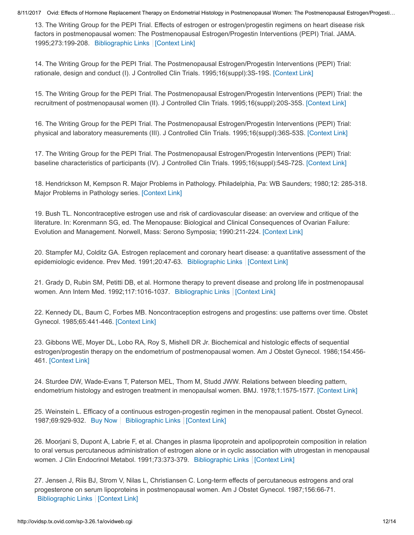13. The Writing Group for the PEPI Trial. Effects of estrogen or estrogen/progestin regimens on heart disease risk factors in postmenopausal women: The Postmenopausal Estrogen/Progestin Interventions (PEPI) Trial. JAMA. 1995;273:199-208. [Bibliographic](http://ovidsp.tx.ovid.com/sp-3.26.1a/ovidweb.cgi?Link+Set+Ref=00005407-199602070-00032|00005407_1995_273_199_anonymous_postmenopausal_%7c00005407-199602070-00032%23xpointer%28id%28R13-32%29%29%7c60%7c%7covftdb%7c00005407-199501180-00022&P=87&S=MLCHFPKBCFDDCHOJNCGKICJCAKLCAA00&WebLinkReturn=Full+Text%3dL%7cS.sh.22.23%7c0%7c00005407-199602070-00032) Links [\[Context](#page-1-1) Link]

<span id="page-11-0"></span>14. The Writing Group for the PEPI Trial. The Postmenopausal Estrogen/Progestin Interventions (PEPI) Trial: rationale, design and conduct (I). J Controlled Clin Trials. 1995;16(suppl):3S-19S. [\[Context](#page-1-2) Link]

15. The Writing Group for the PEPI Trial. The Postmenopausal Estrogen/Progestin Interventions (PEPI) Trial: the recruitment of postmenopausal women (II). J Controlled Clin Trials. 1995;16(suppl):20S-35S. [\[Context](#page-1-2) Link]

16. The Writing Group for the PEPI Trial. The Postmenopausal Estrogen/Progestin Interventions (PEPI) Trial: physical and laboratory measurements (III). J Controlled Clin Trials. 1995;16(suppl):36S-53S. [\[Context](#page-1-2) Link]

<span id="page-11-2"></span>17. The Writing Group for the PEPI Trial. The Postmenopausal Estrogen/Progestin Interventions (PEPI) Trial: baseline characteristics of participants (IV). J Controlled Clin Trials. 1995;16(suppl):54S-72S. [\[Context](#page-1-2) Link]

<span id="page-11-1"></span>18. Hendrickson M, Kempson R. Major Problems in Pathology. Philadelphia, Pa: WB Saunders; 1980;12: 285-318. Major Problems in Pathology series. [\[Context](#page-2-0) Link]

<span id="page-11-3"></span>19. Bush TL. Noncontraceptive estrogen use and risk of cardiovascular disease: an overview and critique of the literature. In: Korenmann SG, ed. The Menopause: Biological and Clinical Consequences of Ovarian Failure: Evolution and Management. Norwell, Mass: Serono Symposia; 1990:211-224. [\[Context](#page-7-0) Link]

20. Stampfer MJ, Colditz GA. Estrogen replacement and coronary heart disease: a quantitative assessment of the epidemiologic evidence. Prev Med. 1991;20:47-63. [Bibliographic](http://ovidsp.tx.ovid.com/sp-3.26.1a/ovidweb.cgi?Link+Set+Ref=00005407-199602070-00032|00006645_1991_20_47_stampfer_epidemiologic_%7c00005407-199602070-00032%23xpointer%28id%28R20-32%29%29%7c60%7c%7covftdb%7c&P=94&S=MLCHFPKBCFDDCHOJNCGKICJCAKLCAA00&WebLinkReturn=Full+Text%3dL%7cS.sh.22.23%7c0%7c00005407-199602070-00032) Links [\[Context](#page-7-0) Link]

21. Grady D, Rubin SM, Petitti DB, et al. Hormone therapy to prevent disease and prolong life in postmenopausal women. Ann Intern Med. 1992;117:1016-1037. [Bibliographic](http://ovidsp.tx.ovid.com/sp-3.26.1a/ovidweb.cgi?Link+Set+Ref=00005407-199602070-00032|00000605_1992_117_1016_grady_postmenopausal_%7c00005407-199602070-00032%23xpointer%28id%28R21-32%29%29%7c60%7c%7covftdb%7c&P=95&S=MLCHFPKBCFDDCHOJNCGKICJCAKLCAA00&WebLinkReturn=Full+Text%3dL%7cS.sh.22.23%7c0%7c00005407-199602070-00032) Links [\[Context](#page-7-0) Link]

<span id="page-11-4"></span>22. Kennedy DL, Baum C, Forbes MB. Noncontraception estrogens and progestins: use patterns over time. Obstet Gynecol. 1985;65:441-446. [\[Context](#page-7-0) Link]

<span id="page-11-5"></span>23. Gibbons WE, Moyer DL, Lobo RA, Roy S, Mishell DR Jr. Biochemical and histologic effects of sequential estrogen/progestin therapy on the endometrium of postmenopausal women. Am J Obstet Gynecol. 1986;154:456- 461. [\[Context](#page-7-0) Link]

<span id="page-11-6"></span>24. Sturdee DW, Wade-Evans T, Paterson MEL, Thom M, Studd JWW. Relations between bleeding pattern, endometrium histology and estrogen treatment in menopaulsal women. BMJ. 1978;1:1575-1577. [\[Context](#page-7-0) Link]

<span id="page-11-7"></span>25. Weinstein L. Efficacy of a continuous estrogen-progestin regimen in the menopausal patient. Obstet Gynecol. 1987;69:929-932. Buy [Now](http://ovidsp.tx.ovid.com/sp-3.26.1a/ovidweb.cgi?Link+Set+Ref=00005407-199602070-00032|00006250_1987_69_929_weinstein_continuous_%7c00005407-199602070-00032%23xpointer%28id%28R25-32%29%29%7c25%7c%7covftdb%7c&P=99&S=MLCHFPKBCFDDCHOJNCGKICJCAKLCAA00&WebLinkReturn=Full+Text%3dL%7cS.sh.22.23%7c0%7c00005407-199602070-00032) | [Bibliographic](http://ovidsp.tx.ovid.com/sp-3.26.1a/ovidweb.cgi?Link+Set+Ref=00005407-199602070-00032|00006250_1987_69_929_weinstein_continuous_%7c00005407-199602070-00032%23xpointer%28id%28R25-32%29%29%7c60%7c%7covftdb%7c&P=99&S=MLCHFPKBCFDDCHOJNCGKICJCAKLCAA00&WebLinkReturn=Full+Text%3dL%7cS.sh.22.23%7c0%7c00005407-199602070-00032) Links | [\[Context](#page-7-0) Link]

<span id="page-11-8"></span>26. Moorjani S, Dupont A, Labrie F, et al. Changes in plasma lipoprotein and apolipoprotein composition in relation to oral versus percutaneous administration of estrogen alone or in cyclic association with utrogestan in menopausal women. J Clin Endocrinol Metabol. 1991;73:373-379. [Bibliographic](http://ovidsp.tx.ovid.com/sp-3.26.1a/ovidweb.cgi?Link+Set+Ref=00005407-199602070-00032|00004678_1991_73_373_moorjani_apolipoprotein_%7c00005407-199602070-00032%23xpointer%28id%28R26-32%29%29%7c60%7c%7covftdb%7c&P=100&S=MLCHFPKBCFDDCHOJNCGKICJCAKLCAA00&WebLinkReturn=Full+Text%3dL%7cS.sh.22.23%7c0%7c00005407-199602070-00032) Links [\[Context](#page-7-0) Link]

<span id="page-11-9"></span>27. Jensen J, Riis BJ, Strom V, Nilas L, Christiansen C. Long-term effects of percutaneous estrogens and oral progesterone on serum lipoproteins in postmenopausal women. Am J Obstet Gynecol. 1987;156:66-71. [Bibliographic](http://ovidsp.tx.ovid.com/sp-3.26.1a/ovidweb.cgi?Link+Set+Ref=00005407-199602070-00032|00000447_1987_156_66_jensen_postmenopausal_%7c00005407-199602070-00032%23xpointer%28id%28R27-32%29%29%7c60%7c%7covftdb%7c&P=101&S=MLCHFPKBCFDDCHOJNCGKICJCAKLCAA00&WebLinkReturn=Full+Text%3dL%7cS.sh.22.23%7c0%7c00005407-199602070-00032) Links | [\[Context](#page-7-0) Link]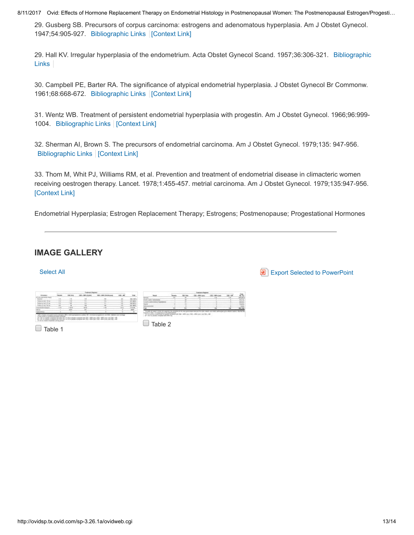29. Gusberg SB. Precursors of corpus carcinoma: estrogens and adenomatous hyperplasia. Am J Obstet Gynecol. 1947;54:905-927. [Bibliographic](http://ovidsp.tx.ovid.com/sp-3.26.1a/ovidweb.cgi?Link+Set+Ref=00005407-199602070-00032|00000447_1947_54_905_gusberg_adenomatous_%7c00005407-199602070-00032%23xpointer%28id%28R29-32%29%29%7c60%7c%7covftdb%7c&P=102&S=MLCHFPKBCFDDCHOJNCGKICJCAKLCAA00&WebLinkReturn=Full+Text%3dL%7cS.sh.22.23%7c0%7c00005407-199602070-00032) Links [\[Context](#page-7-1) Link]

29. Hall KV. Irregular hyperplasia of the endometrium. Acta Obstet Gynecol Scand. [1957;36:306-321.](http://ovidsp.tx.ovid.com/sp-3.26.1a/ovidweb.cgi?Link+Set+Ref=00005407-199602070-00032|00000140_1957_36_306_hall_hyperplasia_%7c00005407-199602070-00032%23xpointer%28id%28R29-1-32%29%29%7c60%7c%7covftdb%7c&P=103&S=MLCHFPKBCFDDCHOJNCGKICJCAKLCAA00&WebLinkReturn=Full+Text%3dL%7cS.sh.22.23%7c0%7c00005407-199602070-00032) Bibliographic Links

30. Campbell PE, Barter RA. The significance of atypical endometrial hyperplasia. J Obstet Gynecol Br Commonw. 1961;68:668-672. [Bibliographic](http://ovidsp.tx.ovid.com/sp-3.26.1a/ovidweb.cgi?Link+Set+Ref=00005407-199602070-00032|00005123_1961_68_668_campbell_significance_%7c00005407-199602070-00032%23xpointer%28id%28R30-32%29%29%7c60%7c%7covftdb%7c&P=104&S=MLCHFPKBCFDDCHOJNCGKICJCAKLCAA00&WebLinkReturn=Full+Text%3dL%7cS.sh.22.23%7c0%7c00005407-199602070-00032) Links [\[Context](#page-7-1) Link]

31. Wentz WB. Treatment of persistent endometrial hyperplasia with progestin. Am J Obstet Gynecol. 1966;96:999- 1004. [Bibliographic](http://ovidsp.tx.ovid.com/sp-3.26.1a/ovidweb.cgi?Link+Set+Ref=00005407-199602070-00032|00000447_1966_96_999_wentz_endometrial_%7c00005407-199602070-00032%23xpointer%28id%28R31-32%29%29%7c60%7c%7covftdb%7c&P=105&S=MLCHFPKBCFDDCHOJNCGKICJCAKLCAA00&WebLinkReturn=Full+Text%3dL%7cS.sh.22.23%7c0%7c00005407-199602070-00032) Links | [\[Context](#page-7-1) Link]

32. Sherman AI, Brown S. The precursors of endometrial carcinoma. Am J Obstet Gynecol. 1979;135: 947-956. [Bibliographic](http://ovidsp.tx.ovid.com/sp-3.26.1a/ovidweb.cgi?Link+Set+Ref=00005407-199602070-00032|00000447_1979_135_947_sherman_endometrial_%7c00005407-199602070-00032%23xpointer%28id%28R32-32%29%29%7c60%7c%7covftdb%7c&P=106&S=MLCHFPKBCFDDCHOJNCGKICJCAKLCAA00&WebLinkReturn=Full+Text%3dL%7cS.sh.22.23%7c0%7c00005407-199602070-00032) Links | [\[Context](#page-7-1) Link]

<span id="page-12-0"></span>33. Thom M, Whit PJ, Williams RM, et al. Prevention and treatment of endometrial disease in climacteric women receiving oestrogen therapy. Lancet. 1978;1:455-457. metrial carcinoma. Am J Obstet Gynecol. 1979;135:947-956. [\[Context](#page-7-1) Link]

Endometrial Hyperplasia; Estrogen Replacement Therapy; Estrogens; Postmenopause; Progestational Hormones

# IMAGE GALLERY

[Select](http://ovidsp.tx.ovid.com/sp-3.26.1a/ovidweb.cgi?&S=MLCHFPKBCFDDCHOJNCGKICJCAKLCAA00&Full+Text=L%7cS.sh.22.23%7c0%7c00005407-199602070-00032&image_gallery_select=selectall&resultset=S.sh.22%7c1) All **Export Selected to PowerPoint** Selected to PowerPoint

| <b>Continental Services a</b> |       |                          |      |                |                          |                  |         |        |            |  |  |  |              |
|-------------------------------|-------|--------------------------|------|----------------|--------------------------|------------------|---------|--------|------------|--|--|--|--------------|
|                               |       |                          |      | <b>CASTING</b> |                          | <b>Side</b><br>= |         |        |            |  |  |  |              |
|                               |       |                          |      |                |                          |                  |         |        |            |  |  |  |              |
|                               | $-11$ |                          |      |                |                          | <b>Lu</b>        |         |        |            |  |  |  |              |
|                               |       |                          |      |                |                          |                  |         |        |            |  |  |  |              |
|                               |       |                          |      |                |                          | m                |         |        |            |  |  |  |              |
|                               |       | $\overline{\phantom{a}}$ | $-4$ |                |                          | 51.95            |         |        |            |  |  |  |              |
|                               |       |                          |      |                |                          | FRIDE.           |         | $\sim$ |            |  |  |  | <b>SELLE</b> |
|                               |       |                          | m    |                |                          | <b>DESE</b>      |         |        |            |  |  |  |              |
|                               |       |                          |      |                |                          |                  |         |        |            |  |  |  |              |
|                               |       |                          |      |                | <b>COLLEGE A ALCOHOL</b> |                  |         |        | <b>FRA</b> |  |  |  |              |
|                               |       |                          |      |                |                          |                  | Table 2 |        |            |  |  |  |              |